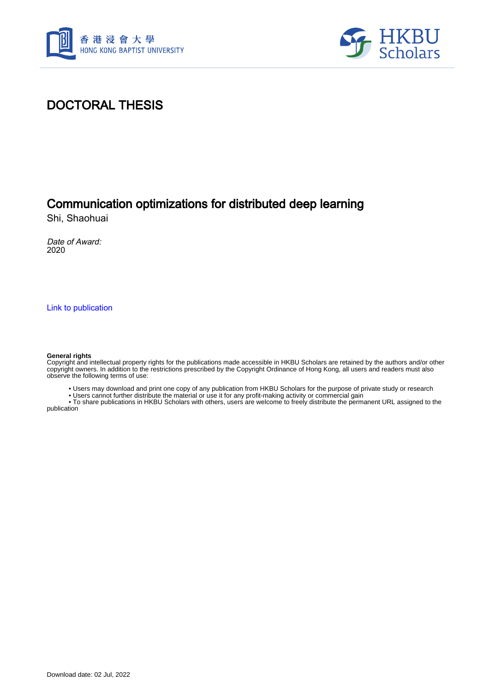



## DOCTORAL THESIS

### Communication optimizations for distributed deep learning

Shi, Shaohuai

Date of Award: 2020

[Link to publication](https://scholars.hkbu.edu.hk/en/studentTheses/2a208d92-423a-4ebf-bb6d-17f96fc07d4e)

#### **General rights**

Copyright and intellectual property rights for the publications made accessible in HKBU Scholars are retained by the authors and/or other copyright owners. In addition to the restrictions prescribed by the Copyright Ordinance of Hong Kong, all users and readers must also observe the following terms of use:

• Users may download and print one copy of any publication from HKBU Scholars for the purpose of private study or research

• Users cannot further distribute the material or use it for any profit-making activity or commercial gain

 • To share publications in HKBU Scholars with others, users are welcome to freely distribute the permanent URL assigned to the publication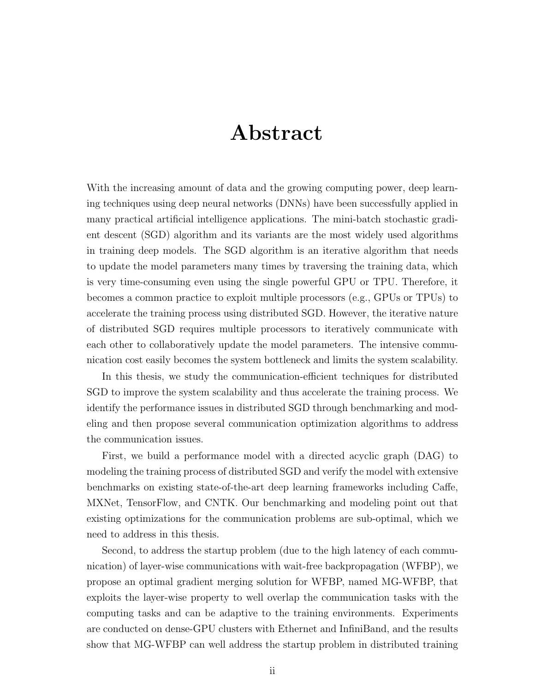## Abstract

With the increasing amount of data and the growing computing power, deep learning techniques using deep neural networks (DNNs) have been successfully applied in many practical artificial intelligence applications. The mini-batch stochastic gradient descent (SGD) algorithm and its variants are the most widely used algorithms in training deep models. The SGD algorithm is an iterative algorithm that needs to update the model parameters many times by traversing the training data, which is very time-consuming even using the single powerful GPU or TPU. Therefore, it becomes a common practice to exploit multiple processors (e.g., GPUs or TPUs) to accelerate the training process using distributed SGD. However, the iterative nature of distributed SGD requires multiple processors to iteratively communicate with each other to collaboratively update the model parameters. The intensive communication cost easily becomes the system bottleneck and limits the system scalability.

In this thesis, we study the communication-efficient techniques for distributed SGD to improve the system scalability and thus accelerate the training process. We identify the performance issues in distributed SGD through benchmarking and modeling and then propose several communication optimization algorithms to address the communication issues.

First, we build a performance model with a directed acyclic graph (DAG) to modeling the training process of distributed SGD and verify the model with extensive benchmarks on existing state-of-the-art deep learning frameworks including Caffe, MXNet, TensorFlow, and CNTK. Our benchmarking and modeling point out that existing optimizations for the communication problems are sub-optimal, which we need to address in this thesis.

Second, to address the startup problem (due to the high latency of each communication) of layer-wise communications with wait-free backpropagation (WFBP), we propose an optimal gradient merging solution for WFBP, named MG-WFBP, that exploits the layer-wise property to well overlap the communication tasks with the computing tasks and can be adaptive to the training environments. Experiments are conducted on dense-GPU clusters with Ethernet and InfiniBand, and the results show that MG-WFBP can well address the startup problem in distributed training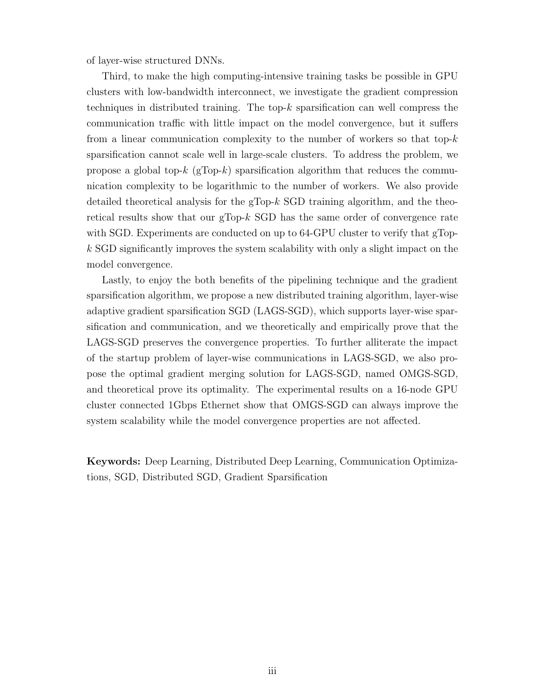of layer-wise structured DNNs.

Third, to make the high computing-intensive training tasks be possible in GPU clusters with low-bandwidth interconnect, we investigate the gradient compression techniques in distributed training. The top- $k$  sparsification can well compress the communication traffic with little impact on the model convergence, but it suffers from a linear communication complexity to the number of workers so that top-*k* sparsification cannot scale well in large-scale clusters. To address the problem, we propose a global top- $k$  (gTop- $k$ ) sparsification algorithm that reduces the communication complexity to be logarithmic to the number of workers. We also provide detailed theoretical analysis for the gTop-*k* SGD training algorithm, and the theoretical results show that our gTop-*k* SGD has the same order of convergence rate with SGD. Experiments are conducted on up to 64-GPU cluster to verify that gTop*k* SGD significantly improves the system scalability with only a slight impact on the model convergence.

Lastly, to enjoy the both benefits of the pipelining technique and the gradient sparsification algorithm, we propose a new distributed training algorithm, layer-wise adaptive gradient sparsification SGD (LAGS-SGD), which supports layer-wise sparsification and communication, and we theoretically and empirically prove that the LAGS-SGD preserves the convergence properties. To further alliterate the impact of the startup problem of layer-wise communications in LAGS-SGD, we also propose the optimal gradient merging solution for LAGS-SGD, named OMGS-SGD, and theoretical prove its optimality. The experimental results on a 16-node GPU cluster connected 1Gbps Ethernet show that OMGS-SGD can always improve the system scalability while the model convergence properties are not affected.

Keywords: Deep Learning, Distributed Deep Learning, Communication Optimizations, SGD, Distributed SGD, Gradient Sparsification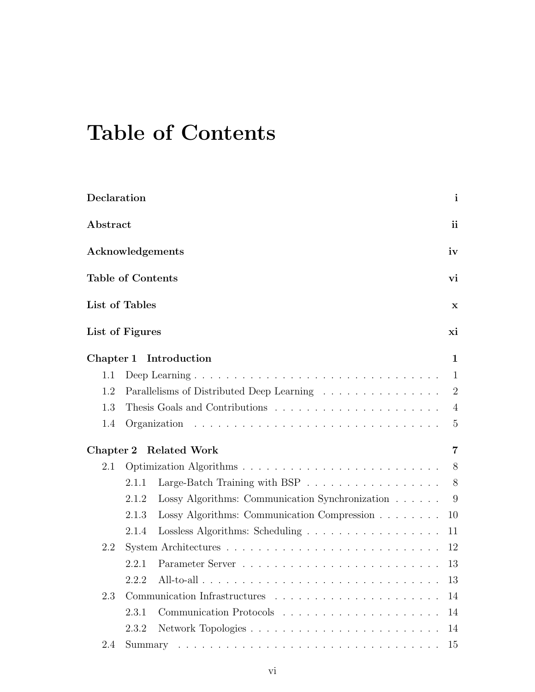# Table of Contents

| Declaration              |       |                                                                             | $\mathbf{i}$              |  |  |  |
|--------------------------|-------|-----------------------------------------------------------------------------|---------------------------|--|--|--|
| Abstract                 |       |                                                                             |                           |  |  |  |
|                          |       | Acknowledgements                                                            | iv                        |  |  |  |
| <b>Table of Contents</b> |       |                                                                             | vi                        |  |  |  |
| List of Tables           |       |                                                                             | $\mathbf x$               |  |  |  |
| List of Figures          |       |                                                                             | хi                        |  |  |  |
|                          |       | Chapter 1 Introduction                                                      | $\mathbf{1}$              |  |  |  |
| 1.1                      |       |                                                                             |                           |  |  |  |
| 1.2                      |       | Parallelisms of Distributed Deep Learning                                   | $\overline{\phantom{a}2}$ |  |  |  |
| 1.3                      |       |                                                                             | 4                         |  |  |  |
| 1.4                      |       |                                                                             | 5                         |  |  |  |
|                          |       | Chapter 2 Related Work                                                      | $\overline{7}$            |  |  |  |
| 2.1                      |       |                                                                             |                           |  |  |  |
|                          | 2.1.1 | Large-Batch Training with BSP $\ldots \ldots \ldots \ldots \ldots \ldots$ 8 |                           |  |  |  |
|                          | 2.1.2 | Lossy Algorithms: Communication Synchronization $\ldots \ldots$ 9           |                           |  |  |  |
|                          | 2.1.3 | Lossy Algorithms: Communication Compression                                 | 10                        |  |  |  |
|                          | 2.1.4 | Lossless Algorithms: Scheduling                                             | 11                        |  |  |  |
| 2.2                      |       |                                                                             | 12                        |  |  |  |
|                          | 2.2.1 |                                                                             | 13                        |  |  |  |
|                          | 2.2.2 |                                                                             | 13                        |  |  |  |
| 2.3                      |       |                                                                             | 14                        |  |  |  |
|                          | 2.3.1 |                                                                             | 14                        |  |  |  |
|                          | 2.3.2 |                                                                             | 14                        |  |  |  |
| 2.4                      |       |                                                                             | 15                        |  |  |  |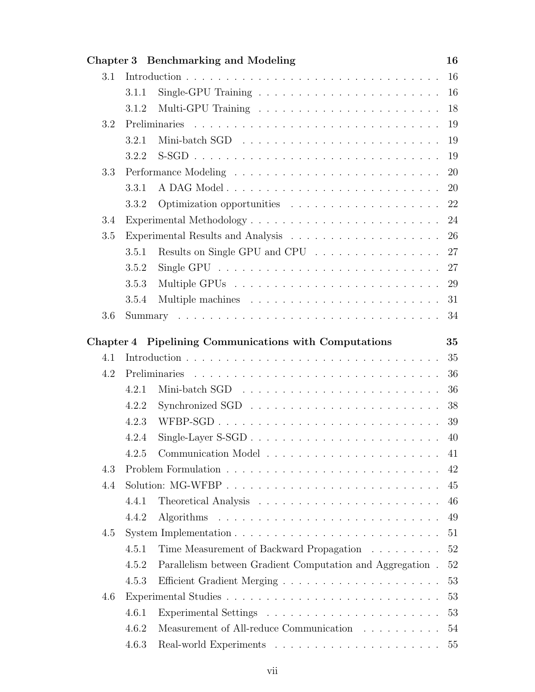|     |                                                                                        | Chapter 3 Benchmarking and Modeling                       | 16 |
|-----|----------------------------------------------------------------------------------------|-----------------------------------------------------------|----|
| 3.1 |                                                                                        |                                                           | 16 |
|     | 3.1.1                                                                                  |                                                           | 16 |
|     | 3.1.2                                                                                  |                                                           | 18 |
| 3.2 |                                                                                        |                                                           | 19 |
|     | 3.2.1                                                                                  |                                                           | 19 |
|     | 3.2.2                                                                                  |                                                           | 19 |
| 3.3 |                                                                                        |                                                           | 20 |
|     | 3.3.1                                                                                  |                                                           | 20 |
|     | 3.3.2                                                                                  | Optimization opportunities                                | 22 |
| 3.4 |                                                                                        |                                                           | 24 |
| 3.5 |                                                                                        |                                                           | 26 |
|     | 3.5.1                                                                                  | Results on Single GPU and CPU                             | 27 |
|     | 3.5.2                                                                                  |                                                           | 27 |
|     | 3.5.3                                                                                  |                                                           | 29 |
|     | 3.5.4                                                                                  |                                                           | 31 |
| 3.6 |                                                                                        |                                                           | 34 |
|     |                                                                                        |                                                           |    |
|     |                                                                                        | Chapter 4 Pipelining Communications with Computations     | 35 |
| 4.1 |                                                                                        |                                                           | 35 |
| 4.2 |                                                                                        |                                                           | 36 |
|     | 4.2.1                                                                                  |                                                           | 36 |
|     | 4.2.2                                                                                  |                                                           | 38 |
|     | 4.2.3                                                                                  |                                                           | 39 |
|     | 4.2.4                                                                                  |                                                           | 40 |
|     | 4.2.5                                                                                  |                                                           | 41 |
| 4.3 |                                                                                        |                                                           | 42 |
| 4.4 |                                                                                        |                                                           | 45 |
|     | 4.4.1                                                                                  |                                                           | 46 |
|     | 4.4.2                                                                                  |                                                           | 49 |
| 4.5 | System Implementation $\ldots \ldots \ldots \ldots \ldots \ldots \ldots \ldots \ldots$ |                                                           |    |
|     |                                                                                        |                                                           | 51 |
|     | 4.5.1                                                                                  | Time Measurement of Backward Propagation                  | 52 |
|     | 4.5.2                                                                                  | Parallelism between Gradient Computation and Aggregation. | 52 |
|     | 4.5.3                                                                                  |                                                           | 53 |
| 4.6 |                                                                                        |                                                           | 53 |
|     | 4.6.1                                                                                  |                                                           | 53 |
|     | 4.6.2                                                                                  | Measurement of All-reduce Communication                   | 54 |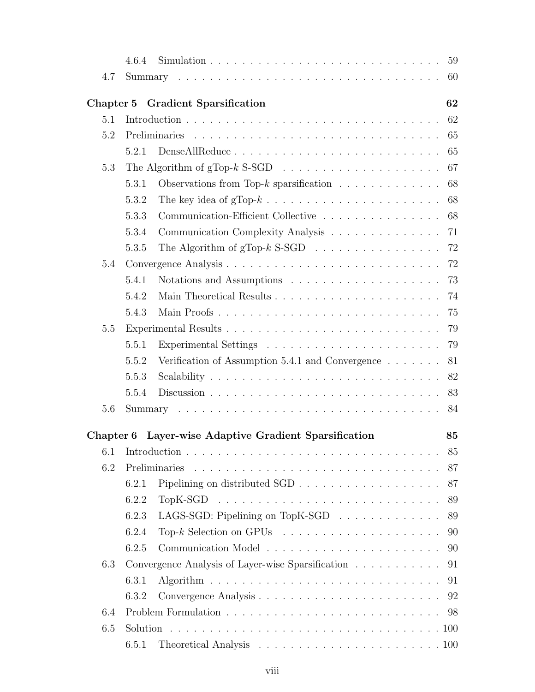|           | 4.6.4                                                                       | 59                                                                         |  |  |  |
|-----------|-----------------------------------------------------------------------------|----------------------------------------------------------------------------|--|--|--|
| 4.7       |                                                                             | 60                                                                         |  |  |  |
| Chapter 5 |                                                                             | 62<br><b>Gradient Sparsification</b>                                       |  |  |  |
| 5.1       |                                                                             |                                                                            |  |  |  |
| 5.2       |                                                                             | 65                                                                         |  |  |  |
|           | 5.2.1                                                                       | 65                                                                         |  |  |  |
| 5.3       | The Algorithm of $gTop-k$ S-SGD $\ldots \ldots \ldots \ldots \ldots \ldots$ |                                                                            |  |  |  |
|           | 5.3.1                                                                       | 68<br>Observations from Top-k sparsification $\ldots \ldots \ldots \ldots$ |  |  |  |
|           | 5.3.2                                                                       | 68                                                                         |  |  |  |
|           | 5.3.3                                                                       | Communication-Efficient Collective<br>68                                   |  |  |  |
|           | 5.3.4                                                                       | Communication Complexity Analysis<br>71                                    |  |  |  |
|           | 5.3.5                                                                       | The Algorithm of $gTop-k$ S-SGD $\ldots \ldots \ldots \ldots \ldots$<br>72 |  |  |  |
| 5.4       |                                                                             | 72                                                                         |  |  |  |
|           | 5.4.1                                                                       | 73                                                                         |  |  |  |
|           | 5.4.2                                                                       | 74                                                                         |  |  |  |
|           | 5.4.3                                                                       | Main Proofs<br>75                                                          |  |  |  |
| 5.5       |                                                                             | 79                                                                         |  |  |  |
|           | 5.5.1                                                                       | 79                                                                         |  |  |  |
|           | 5.5.2                                                                       | Verification of Assumption 5.4.1 and Convergence $\dots \dots$<br>81       |  |  |  |
|           | 5.5.3                                                                       | 82                                                                         |  |  |  |
|           | 5.5.4                                                                       | 83                                                                         |  |  |  |
| 5.6       |                                                                             | 84                                                                         |  |  |  |
| Chapter 6 |                                                                             | Layer-wise Adaptive Gradient Sparsification<br>85                          |  |  |  |
| 6.1       |                                                                             | 85                                                                         |  |  |  |
| 6.2       |                                                                             | 87                                                                         |  |  |  |
|           | 6.2.1                                                                       | 87                                                                         |  |  |  |
|           | 6.2.2                                                                       | 89                                                                         |  |  |  |
|           | 6.2.3                                                                       | LAGS-SGD: Pipelining on TopK-SGD $\ldots \ldots \ldots \ldots$<br>89       |  |  |  |
|           | 6.2.4                                                                       | 90                                                                         |  |  |  |
|           | 6.2.5                                                                       | 90                                                                         |  |  |  |
| 6.3       | Convergence Analysis of Layer-wise Sparsification                           |                                                                            |  |  |  |
|           | 6.3.1                                                                       | 91                                                                         |  |  |  |
|           | 6.3.2                                                                       | 92                                                                         |  |  |  |
| 6.4       |                                                                             |                                                                            |  |  |  |
| 6.5       |                                                                             |                                                                            |  |  |  |
|           | 6.5.1                                                                       |                                                                            |  |  |  |